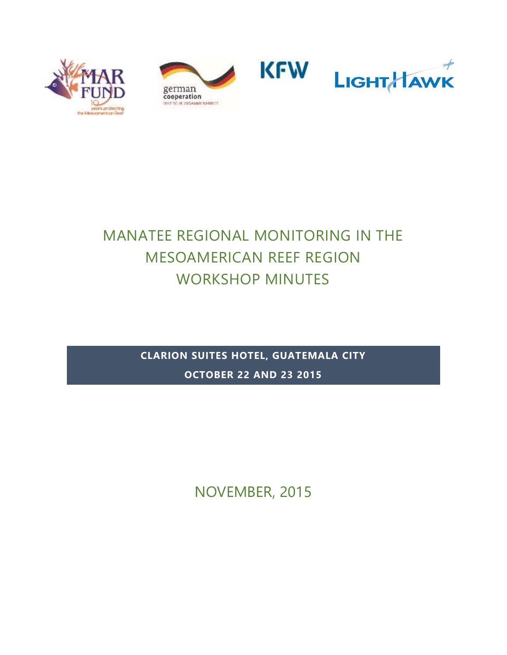





# MANATEE REGIONAL MONITORING IN THE MESOAMERICAN REEF REGION WORKSHOP MINUTES

**CLARION SUITES HOTEL, GUATEMALA CITY OCTOBER 22 AND 23 2015**

NOVEMBER, 2015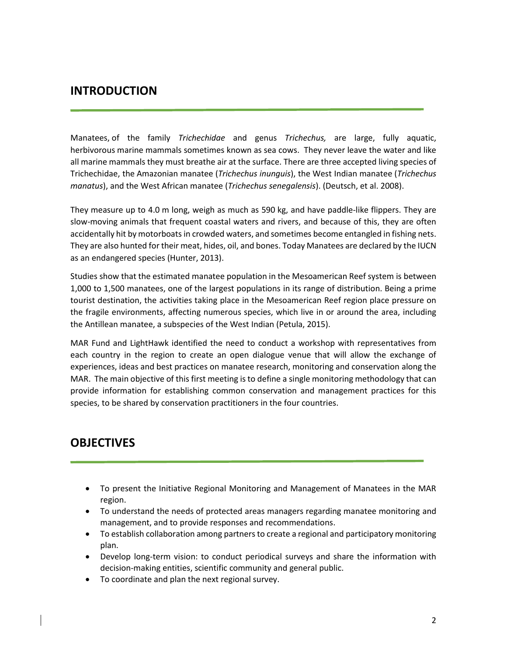## **INTRODUCTION**

Manatees, of the family *Trichechidae* and genus *Trichechus,* are large, fully aquatic, herbivorous marine mammals sometimes known as sea cows. They never leave the water and like all marine mammals they must breathe air at the surface. There are three accepted living species of Trichechidae, the Amazonian manatee (*Trichechus inunguis*), the West Indian manatee (*Trichechus manatus*), and the West African manatee (*Trichechus senegalensis*). (Deutsch, et al. 2008).

They measure up to 4.0 m long, weigh as much as 590 kg, and have paddle-like flippers. They are slow-moving animals that frequent coastal waters and rivers, and because of this, they are often accidentally hit by motorboats in crowded waters, and sometimes become entangled in fishing nets. They are also hunted for their meat, hides, oil, and bones. Today Manatees are declared by the IUCN as an endangered species (Hunter, 2013).

Studies show that the estimated manatee population in the Mesoamerican Reef system is between 1,000 to 1,500 manatees, one of the largest populations in its range of distribution. Being a prime tourist destination, the activities taking place in the Mesoamerican Reef region place pressure on the fragile environments, affecting numerous species, which live in or around the area, including the Antillean manatee, a subspecies of the West Indian (Petula, 2015).

MAR Fund and LightHawk identified the need to conduct a workshop with representatives from each country in the region to create an open dialogue venue that will allow the exchange of experiences, ideas and best practices on manatee research, monitoring and conservation along the MAR. The main objective of this first meeting is to define a single monitoring methodology that can provide information for establishing common conservation and management practices for this species, to be shared by conservation practitioners in the four countries.

# **OBJECTIVES**

- To present the Initiative Regional Monitoring and Management of Manatees in the MAR region.
- To understand the needs of protected areas managers regarding manatee monitoring and management, and to provide responses and recommendations.
- To establish collaboration among partners to create a regional and participatory monitoring plan.
- Develop long-term vision: to conduct periodical surveys and share the information with decision-making entities, scientific community and general public.
- To coordinate and plan the next regional survey.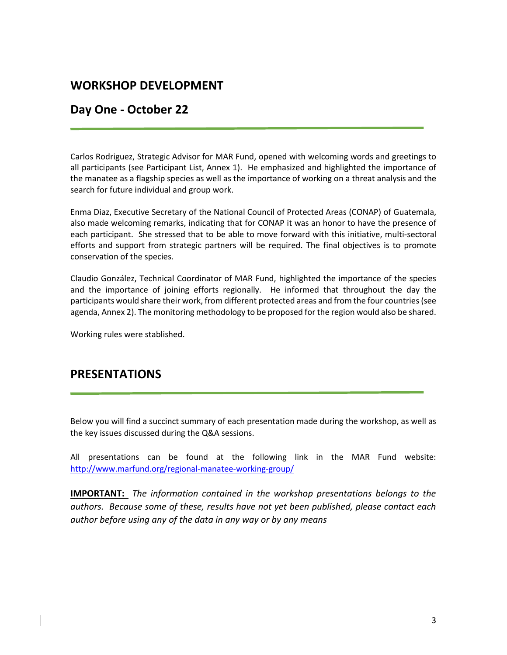# **WORKSHOP DEVELOPMENT**

# **Day One - October 22**

Carlos Rodriguez, Strategic Advisor for MAR Fund, opened with welcoming words and greetings to all participants (see Participant List, Annex 1). He emphasized and highlighted the importance of the manatee as a flagship species as well as the importance of working on a threat analysis and the search for future individual and group work.

Enma Diaz, Executive Secretary of the National Council of Protected Areas (CONAP) of Guatemala, also made welcoming remarks, indicating that for CONAP it was an honor to have the presence of each participant. She stressed that to be able to move forward with this initiative, multi-sectoral efforts and support from strategic partners will be required. The final objectives is to promote conservation of the species.

Claudio González, Technical Coordinator of MAR Fund, highlighted the importance of the species and the importance of joining efforts regionally. He informed that throughout the day the participants would share their work, from different protected areas and from the four countries (see agenda, Annex 2). The monitoring methodology to be proposed for the region would also be shared.

Working rules were stablished.

# **PRESENTATIONS**

Below you will find a succinct summary of each presentation made during the workshop, as well as the key issues discussed during the Q&A sessions.

All presentations can be found at the following link in the MAR Fund website: <http://www.marfund.org/regional-manatee-working-group/>

**IMPORTANT:** *The information contained in the workshop presentations belongs to the authors. Because some of these, results have not yet been published, please contact each author before using any of the data in any way or by any means*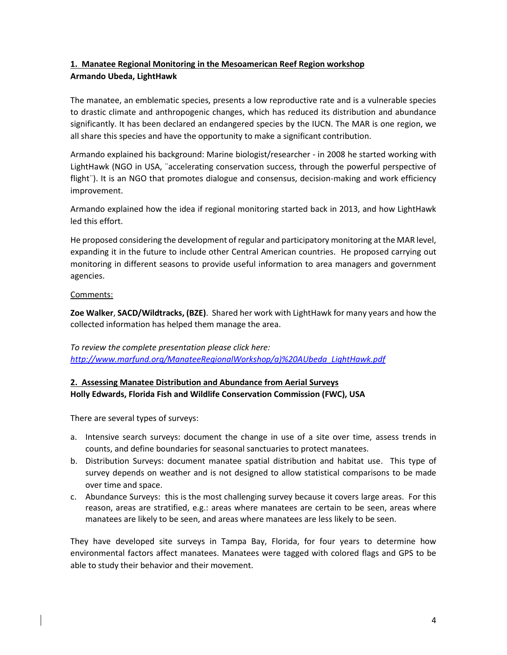### **1. Manatee Regional Monitoring in the Mesoamerican Reef Region workshop Armando Ubeda, LightHawk**

The manatee, an emblematic species, presents a low reproductive rate and is a vulnerable species to drastic climate and anthropogenic changes, which has reduced its distribution and abundance significantly. It has been declared an endangered species by the IUCN. The MAR is one region, we all share this species and have the opportunity to make a significant contribution.

Armando explained his background: Marine biologist/researcher - in 2008 he started working with LightHawk (NGO in USA, ¨accelerating conservation success, through the powerful perspective of flight¨). It is an NGO that promotes dialogue and consensus, decision-making and work efficiency improvement.

Armando explained how the idea if regional monitoring started back in 2013, and how LightHawk led this effort.

He proposed considering the development of regular and participatory monitoring at the MAR level, expanding it in the future to include other Central American countries. He proposed carrying out monitoring in different seasons to provide useful information to area managers and government agencies.

### Comments:

**Zoe Walker**, **SACD/Wildtracks, (BZE)**. Shared her work with LightHawk for many years and how the collected information has helped them manage the area.

*To review the complete presentation please click here: [http://www.marfund.org/ManateeRegionalWorkshop/a\)%20AUbeda\\_LightHawk.pdf](http://www.marfund.org/ManateeRegionalWorkshop/a)%20AUbeda_LightHawk.pdf)*

### **2. Assessing Manatee Distribution and Abundance from Aerial Surveys Holly Edwards, Florida Fish and Wildlife Conservation Commission (FWC), USA**

There are several types of surveys:

- a. Intensive search surveys: document the change in use of a site over time, assess trends in counts, and define boundaries for seasonal sanctuaries to protect manatees.
- b. Distribution Surveys: document manatee spatial distribution and habitat use. This type of survey depends on weather and is not designed to allow statistical comparisons to be made over time and space.
- c. Abundance Surveys: this is the most challenging survey because it covers large areas. For this reason, areas are stratified, e.g.: areas where manatees are certain to be seen, areas where manatees are likely to be seen, and areas where manatees are less likely to be seen.

They have developed site surveys in Tampa Bay, Florida, for four years to determine how environmental factors affect manatees. Manatees were tagged with colored flags and GPS to be able to study their behavior and their movement.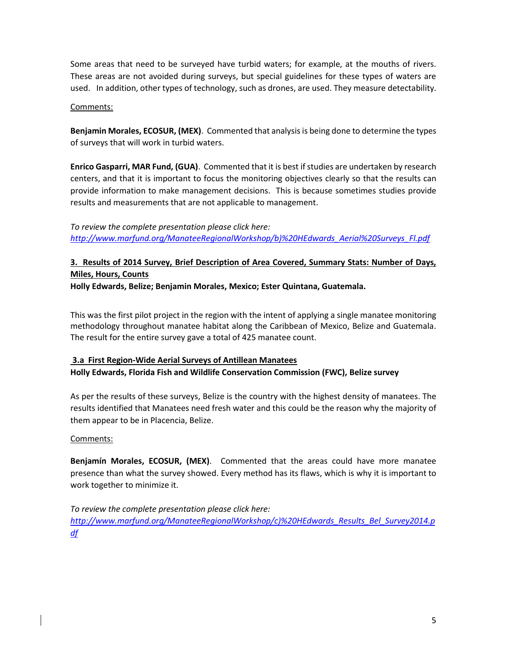Some areas that need to be surveyed have turbid waters; for example, at the mouths of rivers. These areas are not avoided during surveys, but special guidelines for these types of waters are used. In addition, other types of technology, such as drones, are used. They measure detectability.

#### Comments:

**Benjamin Morales, ECOSUR, (MEX)**. Commented that analysis is being done to determine the types of surveys that will work in turbid waters.

**Enrico Gasparri, MAR Fund, (GUA)**. Commented that it is best if studies are undertaken by research centers, and that it is important to focus the monitoring objectives clearly so that the results can provide information to make management decisions. This is because sometimes studies provide results and measurements that are not applicable to management.

*To review the complete presentation please click here: [http://www.marfund.org/ManateeRegionalWorkshop/b\)%20HEdwards\\_Aerial%20Surveys\\_Fl.pdf](http://www.marfund.org/ManateeRegionalWorkshop/b)%20HEdwards_Aerial%20Surveys_Fl.pdf)*

## **3. Results of 2014 Survey, Brief Description of Area Covered, Summary Stats: Number of Days, Miles, Hours, Counts**

**Holly Edwards, Belize; Benjamin Morales, Mexico; Ester Quintana, Guatemala.** 

This was the first pilot project in the region with the intent of applying a single manatee monitoring methodology throughout manatee habitat along the Caribbean of Mexico, Belize and Guatemala. The result for the entire survey gave a total of 425 manatee count.

### **3.a First Region-Wide Aerial Surveys of Antillean Manatees Holly Edwards, Florida Fish and Wildlife Conservation Commission (FWC), Belize survey**

As per the results of these surveys, Belize is the country with the highest density of manatees. The results identified that Manatees need fresh water and this could be the reason why the majority of them appear to be in Placencia, Belize.

### Comments:

**Benjamín Morales, ECOSUR, (MEX)**. Commented that the areas could have more manatee presence than what the survey showed. Every method has its flaws, which is why it is important to work together to minimize it.

*To review the complete presentation please click here: [http://www.marfund.org/ManateeRegionalWorkshop/c\)%20HEdwards\\_Results\\_Bel\\_Survey2014.p](http://www.marfund.org/ManateeRegionalWorkshop/c)%20HEdwards_Results_Bel_Survey2014.pdf) [df](http://www.marfund.org/ManateeRegionalWorkshop/c)%20HEdwards_Results_Bel_Survey2014.pdf)*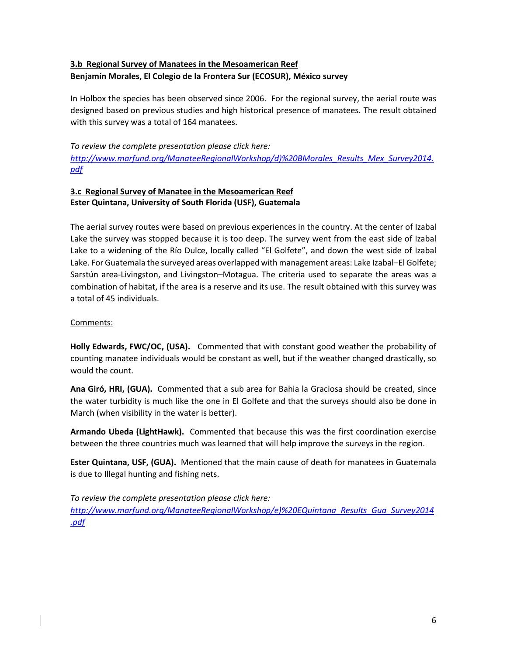### **3.b Regional Survey of Manatees in the Mesoamerican Reef Benjamín Morales, El Colegio de la Frontera Sur (ECOSUR), México survey**

In Holbox the species has been observed since 2006. For the regional survey, the aerial route was designed based on previous studies and high historical presence of manatees. The result obtained with this survey was a total of 164 manatees.

*To review the complete presentation please click here: [http://www.marfund.org/ManateeRegionalWorkshop/d\)%20BMorales\\_Results\\_Mex\\_Survey2014.](http://www.marfund.org/ManateeRegionalWorkshop/d)%20BMorales_Results_Mex_Survey2014.pdf) [pdf](http://www.marfund.org/ManateeRegionalWorkshop/d)%20BMorales_Results_Mex_Survey2014.pdf)*

### **3.c Regional Survey of Manatee in the Mesoamerican Reef Ester Quintana, University of South Florida (USF), Guatemala**

The aerial survey routes were based on previous experiences in the country. At the center of Izabal Lake the survey was stopped because it is too deep. The survey went from the east side of Izabal Lake to a widening of the Río Dulce, locally called "El Golfete", and down the west side of Izabal Lake. For Guatemala the surveyed areas overlapped with management areas: Lake Izabal–El Golfete; Sarstún area-Livingston, and Livingston–Motagua. The criteria used to separate the areas was a combination of habitat, if the area is a reserve and its use. The result obtained with this survey was a total of 45 individuals.

### Comments:

**Holly Edwards, FWC/OC, (USA).** Commented that with constant good weather the probability of counting manatee individuals would be constant as well, but if the weather changed drastically, so would the count.

**Ana Giró, HRI, (GUA).** Commented that a sub area for Bahia la Graciosa should be created, since the water turbidity is much like the one in El Golfete and that the surveys should also be done in March (when visibility in the water is better).

**Armando Ubeda (LightHawk).** Commented that because this was the first coordination exercise between the three countries much was learned that will help improve the surveys in the region.

**Ester Quintana, USF, (GUA).** Mentioned that the main cause of death for manatees in Guatemala is due to Illegal hunting and fishing nets.

*To review the complete presentation please click here: [http://www.marfund.org/ManateeRegionalWorkshop/e\)%20EQuintana\\_Results\\_Gua\\_Survey2014](http://www.marfund.org/ManateeRegionalWorkshop/e)%20EQuintana_Results_Gua_Survey2014.pdf) [.pdf](http://www.marfund.org/ManateeRegionalWorkshop/e)%20EQuintana_Results_Gua_Survey2014.pdf)*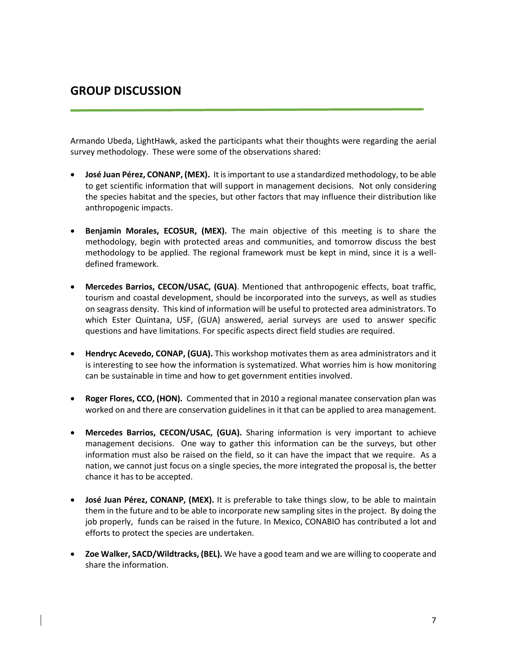# **GROUP DISCUSSION**

Armando Ubeda, LightHawk, asked the participants what their thoughts were regarding the aerial survey methodology. These were some of the observations shared:

- **José Juan Pérez, CONANP, (MEX).** It is important to use a standardized methodology, to be able to get scientific information that will support in management decisions. Not only considering the species habitat and the species, but other factors that may influence their distribution like anthropogenic impacts.
- **Benjamin Morales, ECOSUR, (MEX).** The main objective of this meeting is to share the methodology, begin with protected areas and communities, and tomorrow discuss the best methodology to be applied. The regional framework must be kept in mind, since it is a welldefined framework.
- **Mercedes Barrios, CECON/USAC, (GUA)**. Mentioned that anthropogenic effects, boat traffic, tourism and coastal development, should be incorporated into the surveys, as well as studies on seagrass density. This kind of information will be useful to protected area administrators. To which Ester Quintana, USF, (GUA) answered, aerial surveys are used to answer specific questions and have limitations. For specific aspects direct field studies are required.
- **Hendryc Acevedo, CONAP, (GUA).** This workshop motivates them as area administrators and it is interesting to see how the information is systematized. What worries him is how monitoring can be sustainable in time and how to get government entities involved.
- **Roger Flores, CCO, (HON).** Commented that in 2010 a regional manatee conservation plan was worked on and there are conservation guidelines in it that can be applied to area management.
- **Mercedes Barrios, CECON/USAC, (GUA).** Sharing information is very important to achieve management decisions. One way to gather this information can be the surveys, but other information must also be raised on the field, so it can have the impact that we require. As a nation, we cannot just focus on a single species, the more integrated the proposal is, the better chance it has to be accepted.
- **José Juan Pérez, CONANP, (MEX).** It is preferable to take things slow, to be able to maintain them in the future and to be able to incorporate new sampling sites in the project. By doing the job properly, funds can be raised in the future. In Mexico, CONABIO has contributed a lot and efforts to protect the species are undertaken.
- **Zoe Walker, SACD/Wildtracks, (BEL).** We have a good team and we are willing to cooperate and share the information.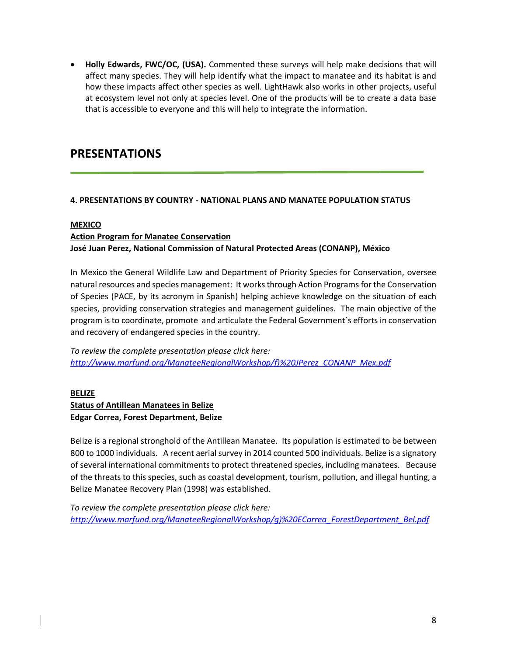**Holly Edwards, FWC/OC, (USA).** Commented these surveys will help make decisions that will affect many species. They will help identify what the impact to manatee and its habitat is and how these impacts affect other species as well. LightHawk also works in other projects, useful at ecosystem level not only at species level. One of the products will be to create a data base that is accessible to everyone and this will help to integrate the information.

# **PRESENTATIONS**

### **4. PRESENTATIONS BY COUNTRY - NATIONAL PLANS AND MANATEE POPULATION STATUS**

#### **MEXICO**

### **Action Program for Manatee Conservation José Juan Perez, National Commission of Natural Protected Areas (CONANP), México**

In Mexico the General Wildlife Law and Department of Priority Species for Conservation, oversee natural resources and species management: It works through Action Programs for the Conservation of Species (PACE, by its acronym in Spanish) helping achieve knowledge on the situation of each species, providing conservation strategies and management guidelines. The main objective of the program is to coordinate, promote and articulate the Federal Government´s efforts in conservation and recovery of endangered species in the country.

*To review the complete presentation please click here: [http://www.marfund.org/ManateeRegionalWorkshop/f\)%20JPerez\\_CONANP\\_Mex.pdf](http://www.marfund.org/ManateeRegionalWorkshop/f)%20JPerez_CONANP_Mex.pdf)*

#### **BELIZE**

### **Status of Antillean Manatees in Belize Edgar Correa, Forest Department, Belize**

Belize is a regional stronghold of the Antillean Manatee. Its population is estimated to be between 800 to 1000 individuals. A recent aerial survey in 2014 counted 500 individuals. Belize is a signatory of several international commitments to protect threatened species, including manatees. Because of the threats to this species, such as coastal development, tourism, pollution, and illegal hunting, a Belize Manatee Recovery Plan (1998) was established.

*To review the complete presentation please click here: [http://www.marfund.org/ManateeRegionalWorkshop/g\)%20ECorrea\\_ForestDepartment\\_Bel.pdf](http://www.marfund.org/ManateeRegionalWorkshop/g)%20ECorrea_ForestDepartment_Bel.pdf)*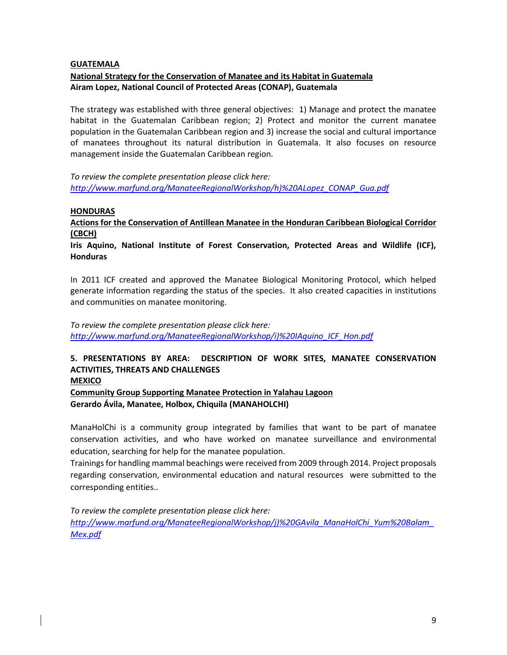#### **GUATEMALA**

#### **National Strategy for the Conservation of Manatee and its Habitat in Guatemala Airam Lopez, National Council of Protected Areas (CONAP), Guatemala**

The strategy was established with three general objectives: 1) Manage and protect the manatee habitat in the Guatemalan Caribbean region; 2) Protect and monitor the current manatee population in the Guatemalan Caribbean region and 3) increase the social and cultural importance of manatees throughout its natural distribution in Guatemala. It also focuses on resource management inside the Guatemalan Caribbean region.

*To review the complete presentation please click here: [http://www.marfund.org/ManateeRegionalWorkshop/h\)%20ALopez\\_CONAP\\_Gua.pdf](http://www.marfund.org/ManateeRegionalWorkshop/h)%20ALopez_CONAP_Gua.pdf)*

#### **HONDURAS**

**Actions for the Conservation of Antillean Manatee in the Honduran Caribbean Biological Corridor (CBCH)**

**Iris Aquino, National Institute of Forest Conservation, Protected Areas and Wildlife (ICF), Honduras**

In 2011 ICF created and approved the Manatee Biological Monitoring Protocol, which helped generate information regarding the status of the species. It also created capacities in institutions and communities on manatee monitoring.

*To review the complete presentation please click here: [http://www.marfund.org/ManateeRegionalWorkshop/i\)%20IAquino\\_ICF\\_Hon.pdf](http://www.marfund.org/ManateeRegionalWorkshop/i)%20IAquino_ICF_Hon.pdf)*

#### **5. PRESENTATIONS BY AREA: DESCRIPTION OF WORK SITES, MANATEE CONSERVATION ACTIVITIES, THREATS AND CHALLENGES MEXICO**

**Community Group Supporting Manatee Protection in Yalahau Lagoon Gerardo Ávila, Manatee, Holbox, Chiquila (MANAHOLCHI)**

ManaHolChi is a community group integrated by families that want to be part of manatee conservation activities, and who have worked on manatee surveillance and environmental education, searching for help for the manatee population.

Trainings for handling mammal beachings were received from 2009 through 2014. Project proposals regarding conservation, environmental education and natural resources were submitted to the corresponding entities..

*To review the complete presentation please click here: [http://www.marfund.org/ManateeRegionalWorkshop/j\)%20GAvila\\_ManaHolChi\\_Yum%20Balam\\_](http://www.marfund.org/ManateeRegionalWorkshop/j)%20GAvila_ManaHolChi_Yum%20Balam_Mex.pdf) [Mex.pdf](http://www.marfund.org/ManateeRegionalWorkshop/j)%20GAvila_ManaHolChi_Yum%20Balam_Mex.pdf)*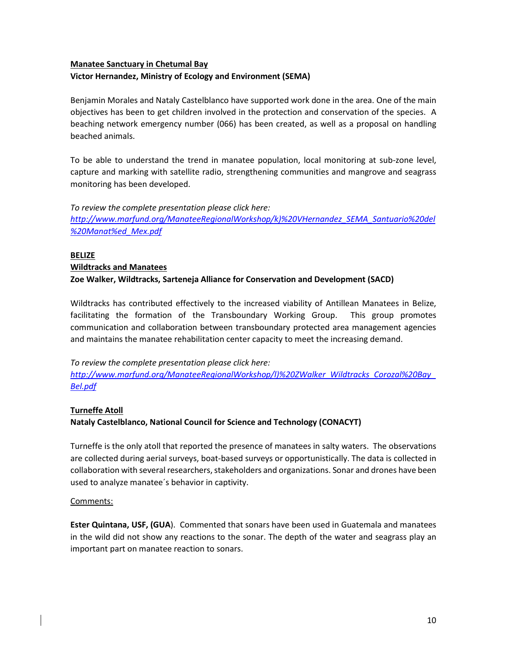### **Manatee Sanctuary in Chetumal Bay**

#### **Victor Hernandez, Ministry of Ecology and Environment (SEMA)**

Benjamin Morales and Nataly Castelblanco have supported work done in the area. One of the main objectives has been to get children involved in the protection and conservation of the species. A beaching network emergency number (066) has been created, as well as a proposal on handling beached animals.

To be able to understand the trend in manatee population, local monitoring at sub-zone level, capture and marking with satellite radio, strengthening communities and mangrove and seagrass monitoring has been developed.

*To review the complete presentation please click here: [http://www.marfund.org/ManateeRegionalWorkshop/k\)%20VHernandez\\_SEMA\\_Santuario%20del](http://www.marfund.org/ManateeRegionalWorkshop/k)%20VHernandez_SEMA_Santuario%20del%20Manat%ed_Mex.pdf) [%20Manat%ed\\_Mex.pdf](http://www.marfund.org/ManateeRegionalWorkshop/k)%20VHernandez_SEMA_Santuario%20del%20Manat%ed_Mex.pdf)*

### **BELIZE Wildtracks and Manatees Zoe Walker, Wildtracks, Sarteneja Alliance for Conservation and Development (SACD)**

Wildtracks has contributed effectively to the increased viability of Antillean Manatees in Belize, facilitating the formation of the Transboundary Working Group. This group promotes communication and collaboration between transboundary protected area management agencies and maintains the manatee rehabilitation center capacity to meet the increasing demand.

*To review the complete presentation please click here: [http://www.marfund.org/ManateeRegionalWorkshop/l\)%20ZWalker\\_Wildtracks\\_Corozal%20Bay\\_](http://www.marfund.org/ManateeRegionalWorkshop/l)%20ZWalker_Wildtracks_Corozal%20Bay_Bel.pdf) [Bel.pdf](http://www.marfund.org/ManateeRegionalWorkshop/l)%20ZWalker_Wildtracks_Corozal%20Bay_Bel.pdf)*

#### **Turneffe Atoll**

#### **Nataly Castelblanco, National Council for Science and Technology (CONACYT)**

Turneffe is the only atoll that reported the presence of manatees in salty waters. The observations are collected during aerial surveys, boat-based surveys or opportunistically. The data is collected in collaboration with several researchers, stakeholders and organizations. Sonar and drones have been used to analyze manatee´s behavior in captivity.

#### Comments:

**Ester Quintana, USF, (GUA**). Commented that sonars have been used in Guatemala and manatees in the wild did not show any reactions to the sonar. The depth of the water and seagrass play an important part on manatee reaction to sonars.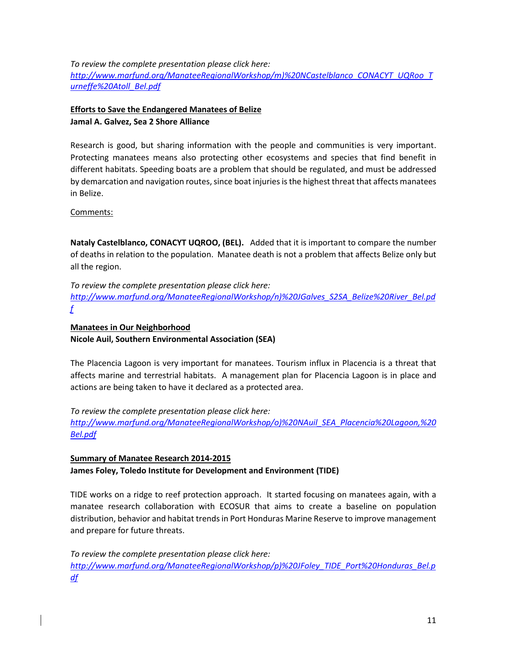*To review the complete presentation please click here:*

*[http://www.marfund.org/ManateeRegionalWorkshop/m\)%20NCastelblanco\\_CONACYT\\_UQRoo\\_T](http://www.marfund.org/ManateeRegionalWorkshop/m)%20NCastelblanco_CONACYT_UQRoo_Turneffe%20Atoll_Bel.pdf) [urneffe%20Atoll\\_Bel.pdf](http://www.marfund.org/ManateeRegionalWorkshop/m)%20NCastelblanco_CONACYT_UQRoo_Turneffe%20Atoll_Bel.pdf)*

### **Efforts to Save the Endangered Manatees of Belize Jamal A. Galvez, Sea 2 Shore Alliance**

Research is good, but sharing information with the people and communities is very important. Protecting manatees means also protecting other ecosystems and species that find benefit in different habitats. Speeding boats are a problem that should be regulated, and must be addressed by demarcation and navigation routes, since boat injuries is the highest threat that affects manatees in Belize.

#### Comments:

**Nataly Castelblanco, CONACYT UQROO, (BEL).** Added that it is important to compare the number of deaths in relation to the population. Manatee death is not a problem that affects Belize only but all the region.

*To review the complete presentation please click here: [http://www.marfund.org/ManateeRegionalWorkshop/n\)%20JGalves\\_S2SA\\_Belize%20River\\_Bel.pd](http://www.marfund.org/ManateeRegionalWorkshop/n)%20JGalves_S2SA_Belize%20River_Bel.pdf) [f](http://www.marfund.org/ManateeRegionalWorkshop/n)%20JGalves_S2SA_Belize%20River_Bel.pdf)*

#### **Manatees in Our Neighborhood Nicole Auil, Southern Environmental Association (SEA)**

The Placencia Lagoon is very important for manatees. Tourism influx in Placencia is a threat that affects marine and terrestrial habitats. A management plan for Placencia Lagoon is in place and actions are being taken to have it declared as a protected area.

*To review the complete presentation please click here: [http://www.marfund.org/ManateeRegionalWorkshop/o\)%20NAuil\\_SEA\\_Placencia%20Lagoon,%20](http://www.marfund.org/ManateeRegionalWorkshop/o)%20NAuil_SEA_Placencia%20Lagoon,%20Bel.pdf) [Bel.pdf](http://www.marfund.org/ManateeRegionalWorkshop/o)%20NAuil_SEA_Placencia%20Lagoon,%20Bel.pdf)*

### **Summary of Manatee Research 2014-2015 James Foley, Toledo Institute for Development and Environment (TIDE)**

TIDE works on a ridge to reef protection approach. It started focusing on manatees again, with a manatee research collaboration with ECOSUR that aims to create a baseline on population distribution, behavior and habitat trends in Port Honduras Marine Reserve to improve management and prepare for future threats.

*To review the complete presentation please click here: [http://www.marfund.org/ManateeRegionalWorkshop/p\)%20JFoley\\_TIDE\\_Port%20Honduras\\_Bel.p](http://www.marfund.org/ManateeRegionalWorkshop/p)%20JFoley_TIDE_Port%20Honduras_Bel.pdf) [df](http://www.marfund.org/ManateeRegionalWorkshop/p)%20JFoley_TIDE_Port%20Honduras_Bel.pdf)*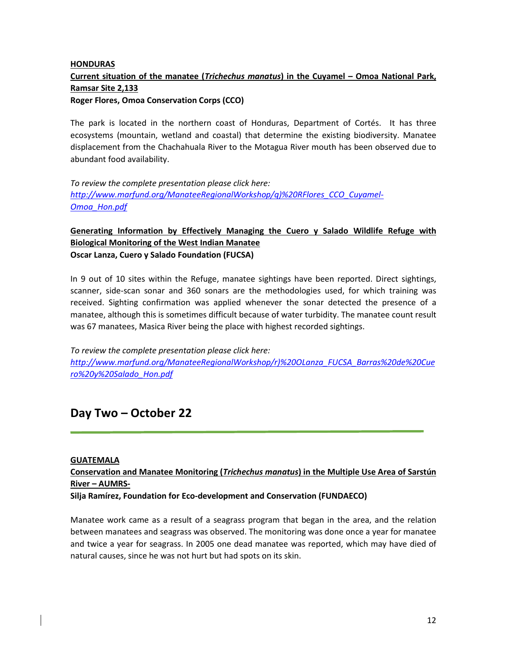### **HONDURAS Current situation of the manatee (***Trichechus manatus***) in the Cuyamel – Omoa National Park, Ramsar Site 2,133 Roger Flores, Omoa Conservation Corps (CCO)**

The park is located in the northern coast of Honduras, Department of Cortés. It has three ecosystems (mountain, wetland and coastal) that determine the existing biodiversity. Manatee displacement from the Chachahuala River to the Motagua River mouth has been observed due to abundant food availability.

*To review the complete presentation please click here: [http://www.marfund.org/ManateeRegionalWorkshop/q\)%20RFlores\\_CCO\\_Cuyamel-](http://www.marfund.org/ManateeRegionalWorkshop/q)%20RFlores_CCO_Cuyamel-Omoa_Hon.pdf)[Omoa\\_Hon.pdf](http://www.marfund.org/ManateeRegionalWorkshop/q)%20RFlores_CCO_Cuyamel-Omoa_Hon.pdf)*

### **Generating Information by Effectively Managing the Cuero y Salado Wildlife Refuge with Biological Monitoring of the West Indian Manatee Oscar Lanza, Cuero y Salado Foundation (FUCSA)**

In 9 out of 10 sites within the Refuge, manatee sightings have been reported. Direct sightings, scanner, side-scan sonar and 360 sonars are the methodologies used, for which training was received. Sighting confirmation was applied whenever the sonar detected the presence of a manatee, although this is sometimes difficult because of water turbidity. The manatee count result was 67 manatees, Masica River being the place with highest recorded sightings.

*To review the complete presentation please click here: [http://www.marfund.org/ManateeRegionalWorkshop/r\)%20OLanza\\_FUCSA\\_Barras%20de%20Cue](http://www.marfund.org/ManateeRegionalWorkshop/r)%20OLanza_FUCSA_Barras%20de%20Cuero%20y%20Salado_Hon.pdf) [ro%20y%20Salado\\_Hon.pdf](http://www.marfund.org/ManateeRegionalWorkshop/r)%20OLanza_FUCSA_Barras%20de%20Cuero%20y%20Salado_Hon.pdf)*

# **Day Two – October 22**

#### **GUATEMALA**

### **Conservation and Manatee Monitoring (***Trichechus manatus***) in the Multiple Use Area of Sarstún River – AUMRS-**

**Silja Ramírez, Foundation for Eco-development and Conservation (FUNDAECO)** 

Manatee work came as a result of a seagrass program that began in the area, and the relation between manatees and seagrass was observed. The monitoring was done once a year for manatee and twice a year for seagrass. In 2005 one dead manatee was reported, which may have died of natural causes, since he was not hurt but had spots on its skin.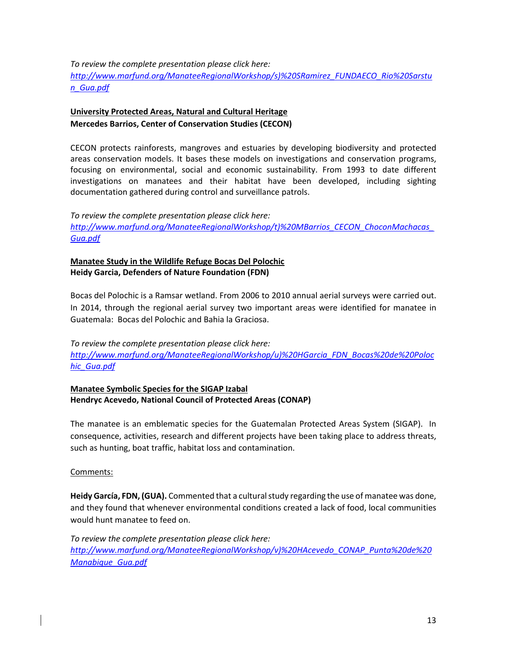*To review the complete presentation please click here:*

*[http://www.marfund.org/ManateeRegionalWorkshop/s\)%20SRamirez\\_FUNDAECO\\_Rio%20Sarstu](http://www.marfund.org/ManateeRegionalWorkshop/s)%20SRamirez_FUNDAECO_Rio%20Sarstun_Gua.pdf) [n\\_Gua.pdf](http://www.marfund.org/ManateeRegionalWorkshop/s)%20SRamirez_FUNDAECO_Rio%20Sarstun_Gua.pdf)*

### **University Protected Areas, Natural and Cultural Heritage Mercedes Barrios, Center of Conservation Studies (CECON)**

CECON protects rainforests, mangroves and estuaries by developing biodiversity and protected areas conservation models. It bases these models on investigations and conservation programs, focusing on environmental, social and economic sustainability. From 1993 to date different investigations on manatees and their habitat have been developed, including sighting documentation gathered during control and surveillance patrols.

*To review the complete presentation please click here: [http://www.marfund.org/ManateeRegionalWorkshop/t\)%20MBarrios\\_CECON\\_ChoconMachacas\\_](http://www.marfund.org/ManateeRegionalWorkshop/t)%20MBarrios_CECON_ChoconMachacas_Gua.pdf) [Gua.pdf](http://www.marfund.org/ManateeRegionalWorkshop/t)%20MBarrios_CECON_ChoconMachacas_Gua.pdf)*

### **Manatee Study in the Wildlife Refuge Bocas Del Polochic Heidy Garcia, Defenders of Nature Foundation (FDN)**

Bocas del Polochic is a Ramsar wetland. From 2006 to 2010 annual aerial surveys were carried out. In 2014, through the regional aerial survey two important areas were identified for manatee in Guatemala: Bocas del Polochic and Bahia la Graciosa.

*To review the complete presentation please click here: [http://www.marfund.org/ManateeRegionalWorkshop/u\)%20HGarcia\\_FDN\\_Bocas%20de%20Poloc](http://www.marfund.org/ManateeRegionalWorkshop/u)%20HGarcia_FDN_Bocas%20de%20Polochic_Gua.pdf) [hic\\_Gua.pdf](http://www.marfund.org/ManateeRegionalWorkshop/u)%20HGarcia_FDN_Bocas%20de%20Polochic_Gua.pdf)*

**Manatee Symbolic Species for the SIGAP Izabal Hendryc Acevedo, National Council of Protected Areas (CONAP)**

The manatee is an emblematic species for the Guatemalan Protected Areas System (SIGAP). In consequence, activities, research and different projects have been taking place to address threats, such as hunting, boat traffic, habitat loss and contamination.

Comments:

**Heidy García, FDN, (GUA).** Commented that a cultural study regarding the use of manatee was done, and they found that whenever environmental conditions created a lack of food, local communities would hunt manatee to feed on.

*To review the complete presentation please click here: [http://www.marfund.org/ManateeRegionalWorkshop/v\)%20HAcevedo\\_CONAP\\_Punta%20de%20](http://www.marfund.org/ManateeRegionalWorkshop/v)%20HAcevedo_CONAP_Punta%20de%20Manabique_Gua.pdf) [Manabique\\_Gua.pdf](http://www.marfund.org/ManateeRegionalWorkshop/v)%20HAcevedo_CONAP_Punta%20de%20Manabique_Gua.pdf)*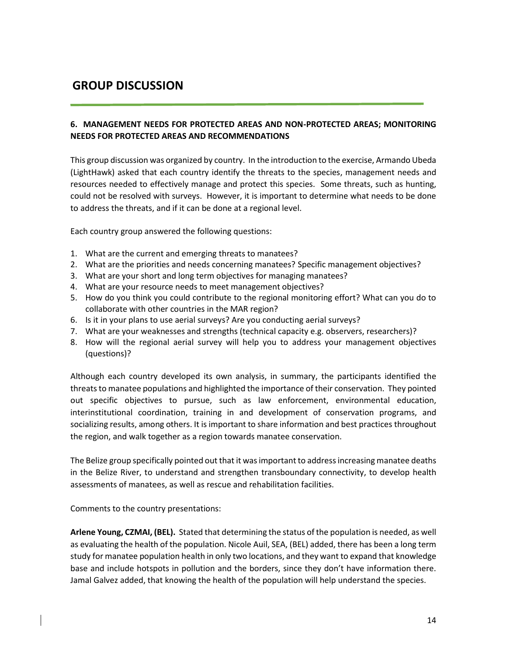# **GROUP DISCUSSION**

### **6. MANAGEMENT NEEDS FOR PROTECTED AREAS AND NON-PROTECTED AREAS; MONITORING NEEDS FOR PROTECTED AREAS AND RECOMMENDATIONS**

This group discussion was organized by country. In the introduction to the exercise, Armando Ubeda (LightHawk) asked that each country identify the threats to the species, management needs and resources needed to effectively manage and protect this species. Some threats, such as hunting, could not be resolved with surveys. However, it is important to determine what needs to be done to address the threats, and if it can be done at a regional level.

Each country group answered the following questions:

- 1. What are the current and emerging threats to manatees?
- 2. What are the priorities and needs concerning manatees? Specific management objectives?
- 3. What are your short and long term objectives for managing manatees?
- 4. What are your resource needs to meet management objectives?
- 5. How do you think you could contribute to the regional monitoring effort? What can you do to collaborate with other countries in the MAR region?
- 6. Is it in your plans to use aerial surveys? Are you conducting aerial surveys?
- 7. What are your weaknesses and strengths (technical capacity e.g. observers, researchers)?
- 8. How will the regional aerial survey will help you to address your management objectives (questions)?

Although each country developed its own analysis, in summary, the participants identified the threats to manatee populations and highlighted the importance of their conservation. They pointed out specific objectives to pursue, such as law enforcement, environmental education, interinstitutional coordination, training in and development of conservation programs, and socializing results, among others. It is important to share information and best practices throughout the region, and walk together as a region towards manatee conservation.

The Belize group specifically pointed out that it was important to address increasing manatee deaths in the Belize River, to understand and strengthen transboundary connectivity, to develop health assessments of manatees, as well as rescue and rehabilitation facilities.

Comments to the country presentations:

**Arlene Young, CZMAI, (BEL).** Stated that determining the status of the population is needed, as well as evaluating the health of the population. Nicole Auil, SEA, (BEL) added, there has been a long term study for manatee population health in only two locations, and they want to expand that knowledge base and include hotspots in pollution and the borders, since they don't have information there. Jamal Galvez added, that knowing the health of the population will help understand the species.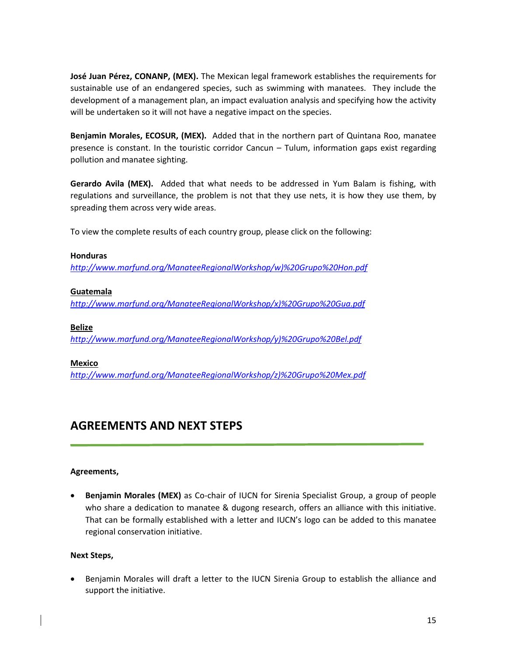**José Juan Pérez, CONANP, (MEX).** The Mexican legal framework establishes the requirements for sustainable use of an endangered species, such as swimming with manatees. They include the development of a management plan, an impact evaluation analysis and specifying how the activity will be undertaken so it will not have a negative impact on the species.

**Benjamin Morales, ECOSUR, (MEX).** Added that in the northern part of Quintana Roo, manatee presence is constant. In the touristic corridor Cancun – Tulum, information gaps exist regarding pollution and manatee sighting.

**Gerardo Avila (MEX).** Added that what needs to be addressed in Yum Balam is fishing, with regulations and surveillance, the problem is not that they use nets, it is how they use them, by spreading them across very wide areas.

To view the complete results of each country group, please click on the following:

#### **Honduras**

*[http://www.marfund.org/ManateeRegionalWorkshop/w\)%20Grupo%20Hon.pdf](http://www.marfund.org/ManateeRegionalWorkshop/w)%20Grupo%20Hon.pdf)*

#### **Guatemala**

*[http://www.marfund.org/ManateeRegionalWorkshop/x\)%20Grupo%20Gua.pdf](http://www.marfund.org/ManateeRegionalWorkshop/x)%20Grupo%20Gua.pdf)*

#### **Belize**

*[http://www.marfund.org/ManateeRegionalWorkshop/y\)%20Grupo%20Bel.pdf](http://www.marfund.org/ManateeRegionalWorkshop/y)%20Grupo%20Bel.pdf)*

#### **Mexico**

*[http://www.marfund.org/ManateeRegionalWorkshop/z\)%20Grupo%20Mex.pdf](http://www.marfund.org/ManateeRegionalWorkshop/z)%20Grupo%20Mex.pdf)*

# **AGREEMENTS AND NEXT STEPS**

#### **Agreements,**

 **Benjamin Morales (MEX)** as Co-chair of IUCN for Sirenia Specialist Group, a group of people who share a dedication to manatee & dugong research, offers an alliance with this initiative. That can be formally established with a letter and IUCN's logo can be added to this manatee regional conservation initiative.

#### **Next Steps,**

 Benjamin Morales will draft a letter to the IUCN Sirenia Group to establish the alliance and support the initiative.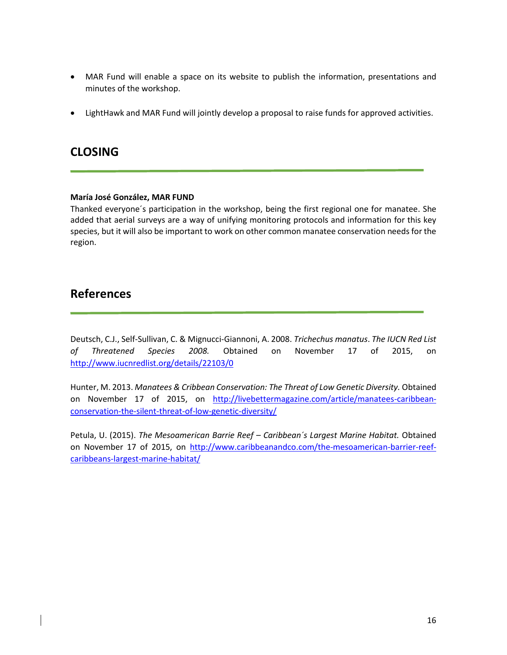- MAR Fund will enable a space on its website to publish the information, presentations and minutes of the workshop.
- LightHawk and MAR Fund will jointly develop a proposal to raise funds for approved activities.

# **CLOSING**

#### **María José González, MAR FUND**

Thanked everyone´s participation in the workshop, being the first regional one for manatee. She added that aerial surveys are a way of unifying monitoring protocols and information for this key species, but it will also be important to work on other common manatee conservation needs for the region.

# **References**

Deutsch, C.J., Self-Sullivan, C. & Mignucci-Giannoni, A. 2008. *Trichechus manatus*. *The IUCN Red List of Threatened Species 2008.* Obtained on November 17 of 2015, on <http://www.iucnredlist.org/details/22103/0>

Hunter, M. 2013. *Manatees & Cribbean Conservation: The Threat of Low Genetic Diversity.* Obtained on November 17 of 2015, on [http://livebettermagazine.com/article/manatees-caribbean](http://livebettermagazine.com/article/manatees-caribbean-conservation-the-silent-threat-of-low-genetic-diversity/)[conservation-the-silent-threat-of-low-genetic-diversity/](http://livebettermagazine.com/article/manatees-caribbean-conservation-the-silent-threat-of-low-genetic-diversity/)

Petula, U. (2015). *The Mesoamerican Barrie Reef – Caribbean´s Largest Marine Habitat.* Obtained on November 17 of 2015, on [http://www.caribbeanandco.com/the-mesoamerican-barrier-reef](http://www.caribbeanandco.com/the-mesoamerican-barrier-reef-caribbeans-largest-marine-habitat/)[caribbeans-largest-marine-habitat/](http://www.caribbeanandco.com/the-mesoamerican-barrier-reef-caribbeans-largest-marine-habitat/)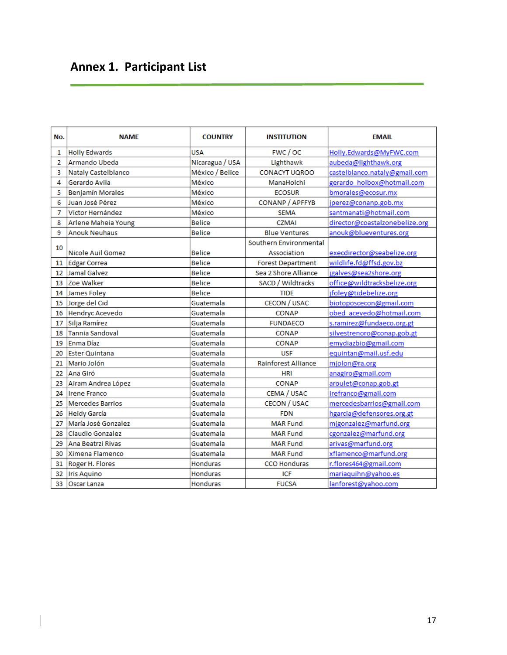# **Annex 1. Participant List**

 $\overline{\phantom{a}}$ 

| No.            | <b>NAME</b>                | <b>COUNTRY</b>  | <b>INSTITUTION</b>         | <b>EMAIL</b>                   |
|----------------|----------------------------|-----------------|----------------------------|--------------------------------|
| 1              | <b>Holly Edwards</b>       | <b>USA</b>      | FWC / OC                   | Holly.Edwards@MyFWC.com        |
| $\overline{2}$ | Armando Ubeda              | Nicaragua / USA | Lighthawk                  | aubeda@lighthawk.org           |
| 3              | <b>Nataly Castelblanco</b> | México / Belice | <b>CONACYT UQROO</b>       | castelblanco.nataly@gmail.com  |
| 4              | Gerardo Avila              | México          | ManaHolchi                 | gerardo holbox@hotmail.com     |
| 5              | <b>Benjamín Morales</b>    | México          | <b>ECOSUR</b>              | bmorales@ecosur.mx             |
| 6              | Juan José Pérez            | México          | <b>CONANP / APFFYB</b>     | jperez@conanp.gob.mx           |
| 7              | Victor Hernández           | México          | <b>SEMA</b>                | santmanati@hotmail.com         |
| 8              | Arlene Maheia Young        | <b>Belice</b>   | <b>CZMAI</b>               | director@coastalzonebelize.org |
| 9              | <b>Anouk Neuhaus</b>       | <b>Belice</b>   | <b>Blue Ventures</b>       | anouk@blueventures.org         |
| 10             |                            |                 | Southern Environmental     |                                |
|                | <b>Nicole Auil Gomez</b>   | <b>Belice</b>   | Association                | execdirector@seabelize.org     |
| 11             | Edgar Correa               | <b>Belice</b>   | <b>Forest Department</b>   | wildlife.fd@ffsd.gov.bz        |
| 12             | Jamal Galvez               | <b>Belice</b>   | Sea 2 Shore Alliance       | jgalves@sea2shore.org          |
| 13             | Zoe Walker                 | <b>Belice</b>   | SACD / Wildtracks          | office@wildtracksbelize.org    |
| 14             | James Foley                | <b>Belice</b>   | <b>TIDE</b>                | jfoley@tidebelize.org          |
| 15             | Jorge del Cid              | Guatemala       | <b>CECON / USAC</b>        | biotoposcecon@gmail.com        |
| 16             | Hendryc Acevedo            | Guatemala       | <b>CONAP</b>               | obed acevedo@hotmail.com       |
| 17             | Silja Ramírez              | Guatemala       | <b>FUNDAECO</b>            | s.ramirez@fundaeco.org.gt      |
| 18             | Tannia Sandoval            | Guatemala       | <b>CONAP</b>               | silvestrenoro@conap.gob.gt     |
| 19             | Enma Díaz                  | Guatemala       | <b>CONAP</b>               | emydiazbio@gmail.com           |
| 20             | <b>Ester Quintana</b>      | Guatemala       | <b>USF</b>                 | equintan@mail.usf.edu          |
| 21             | Mario Jolón                | Guatemala       | <b>Rainforest Alliance</b> | mjolon@ra.org                  |
| 22             | Ana Giró                   | Guatemala       | <b>HRI</b>                 | anagiro@gmail.com              |
| 23             | Airam Andrea López         | Guatemala       | <b>CONAP</b>               | aroulet@conap.gob.gt           |
| 24             | Irene Franco               | Guatemala       | CEMA / USAC                | irefranco@gmail.com            |
| 25             | Mercedes Barrios           | Guatemala       | <b>CECON / USAC</b>        | mercedesbarrios@gmail.com      |
| 26             | <b>Heidy García</b>        | Guatemala       | <b>FDN</b>                 | hgarcia@defensores.org.gt      |
| 27             | María José Gonzalez        | Guatemala       | <b>MAR Fund</b>            | migonzalez@marfund.org         |
| 28             | Claudio Gonzalez           | Guatemala       | <b>MAR Fund</b>            | cgonzalez@marfund.org          |
| 29             | Ana Beatrzi Rivas          | Guatemala       | <b>MAR Fund</b>            | arivas@marfund.org             |
| 30             | Ximena Flamenco            | Guatemala       | <b>MAR Fund</b>            | xflamenco@marfund.org          |
| 31             | Roger H. Flores            | <b>Honduras</b> | <b>CCO Honduras</b>        | r.flores464@gmail.com          |
| 32             | <b>Iris Aquino</b>         | Honduras        | <b>ICF</b>                 | mariaquihn@yahoo.es            |
| 33             | Oscar Lanza                | <b>Honduras</b> | <b>FUCSA</b>               | lanforest@yahoo.com            |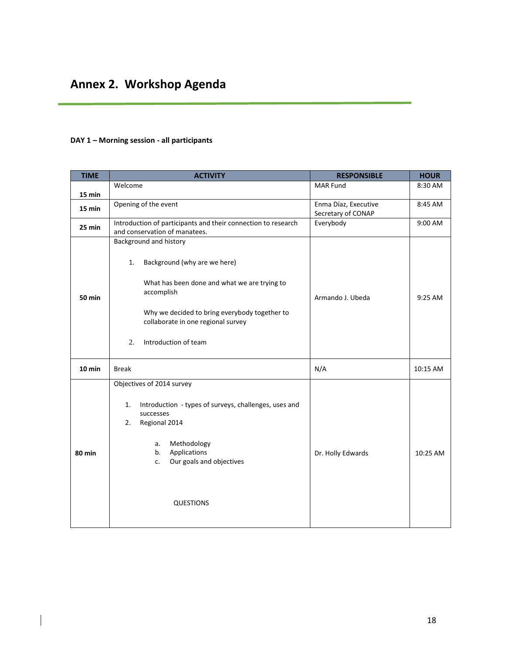### **DAY 1 – Morning session - all participants**

 $\overline{\phantom{a}}$ 

| <b>TIME</b>   | <b>ACTIVITY</b>                                                                                                                                                                                                                                 | <b>RESPONSIBLE</b>   | <b>HOUR</b> |
|---------------|-------------------------------------------------------------------------------------------------------------------------------------------------------------------------------------------------------------------------------------------------|----------------------|-------------|
|               | Welcome                                                                                                                                                                                                                                         | <b>MAR Fund</b>      | 8:30 AM     |
| 15 min        |                                                                                                                                                                                                                                                 |                      |             |
| 15 min        | Opening of the event                                                                                                                                                                                                                            | Enma Díaz, Executive | 8:45 AM     |
|               |                                                                                                                                                                                                                                                 | Secretary of CONAP   |             |
| 25 min        | Introduction of participants and their connection to research<br>and conservation of manatees.                                                                                                                                                  | Everybody            | 9:00 AM     |
| <b>50 min</b> | Background and history<br>Background (why are we here)<br>1.<br>What has been done and what we are trying to<br>accomplish<br>Why we decided to bring everybody together to<br>collaborate in one regional survey<br>Introduction of team<br>2. | Armando J. Ubeda     | 9:25 AM     |
| $10$ min      | <b>Break</b>                                                                                                                                                                                                                                    | N/A                  | 10:15 AM    |
| <b>80 min</b> | Objectives of 2014 survey<br>Introduction - types of surveys, challenges, uses and<br>1.<br>successes<br>Regional 2014<br>2.<br>Methodology<br>a.<br>Applications<br>b.<br>Our goals and objectives<br>c.<br><b>QUESTIONS</b>                   | Dr. Holly Edwards    | 10:25 AM    |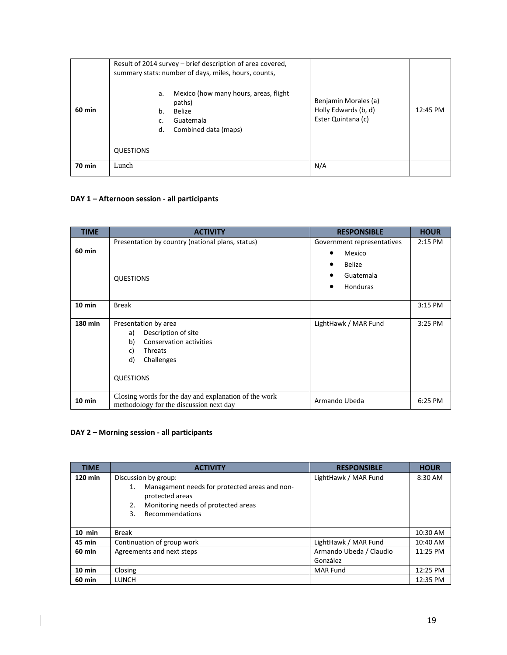| 60 min        | a.<br>b.<br>d. | Result of 2014 survey – brief description of area covered,<br>summary stats: number of days, miles, hours, counts,<br>Mexico (how many hours, areas, flight<br>paths)<br>Belize<br>Guatemala<br>Combined data (maps) | Benjamin Morales (a)<br>Holly Edwards (b, d)<br>Ester Quintana (c) | 12:45 PM |
|---------------|----------------|----------------------------------------------------------------------------------------------------------------------------------------------------------------------------------------------------------------------|--------------------------------------------------------------------|----------|
|               | QUESTIONS      |                                                                                                                                                                                                                      |                                                                    |          |
| <b>70 min</b> | Lunch          |                                                                                                                                                                                                                      | N/A                                                                |          |

### **DAY 1 – Afternoon session - all participants**

| <b>TIME</b>    | <b>ACTIVITY</b>                                                                                                                                           | <b>RESPONSIBLE</b>                                                             | <b>HOUR</b> |
|----------------|-----------------------------------------------------------------------------------------------------------------------------------------------------------|--------------------------------------------------------------------------------|-------------|
| <b>60 min</b>  | Presentation by country (national plans, status)<br><b>QUESTIONS</b>                                                                                      | Government representatives<br>Mexico<br><b>Belize</b><br>Guatemala<br>Honduras | $2:15$ PM   |
| $10$ min       | <b>Break</b>                                                                                                                                              |                                                                                | 3:15 PM     |
| <b>180 min</b> | Presentation by area<br>Description of site<br>a)<br><b>Conservation activities</b><br>b)<br><b>Threats</b><br>c)<br>d)<br>Challenges<br><b>QUESTIONS</b> | LightHawk / MAR Fund                                                           | 3:25 PM     |
| $10$ min       | Closing words for the day and explanation of the work<br>methodology for the discussion next day                                                          | Armando Ubeda                                                                  | 6:25 PM     |

### **DAY 2 – Morning session - all participants**

 $\overline{\phantom{a}}$ 

| <b>TIME</b>      | <b>ACTIVITY</b>                                                                                                                                                      | <b>RESPONSIBLE</b>                  | <b>HOUR</b> |
|------------------|----------------------------------------------------------------------------------------------------------------------------------------------------------------------|-------------------------------------|-------------|
| 120 min          | Discussion by group:<br>Managament needs for protected areas and non-<br>1.<br>protected areas<br>Monitoring needs of protected areas<br>2.<br>Recommendations<br>3. | LightHawk / MAR Fund                | 8:30 AM     |
| $10$ min         | <b>Break</b>                                                                                                                                                         |                                     | 10:30 AM    |
| <b>45 min</b>    | Continuation of group work                                                                                                                                           | LightHawk / MAR Fund                | 10:40 AM    |
| <b>60 min</b>    | Agreements and next steps                                                                                                                                            | Armando Ubeda / Claudio<br>González | 11:25 PM    |
| $10 \text{ min}$ | Closing                                                                                                                                                              | <b>MAR Fund</b>                     | 12:25 PM    |
| 60 min           | LUNCH                                                                                                                                                                |                                     | 12:35 PM    |